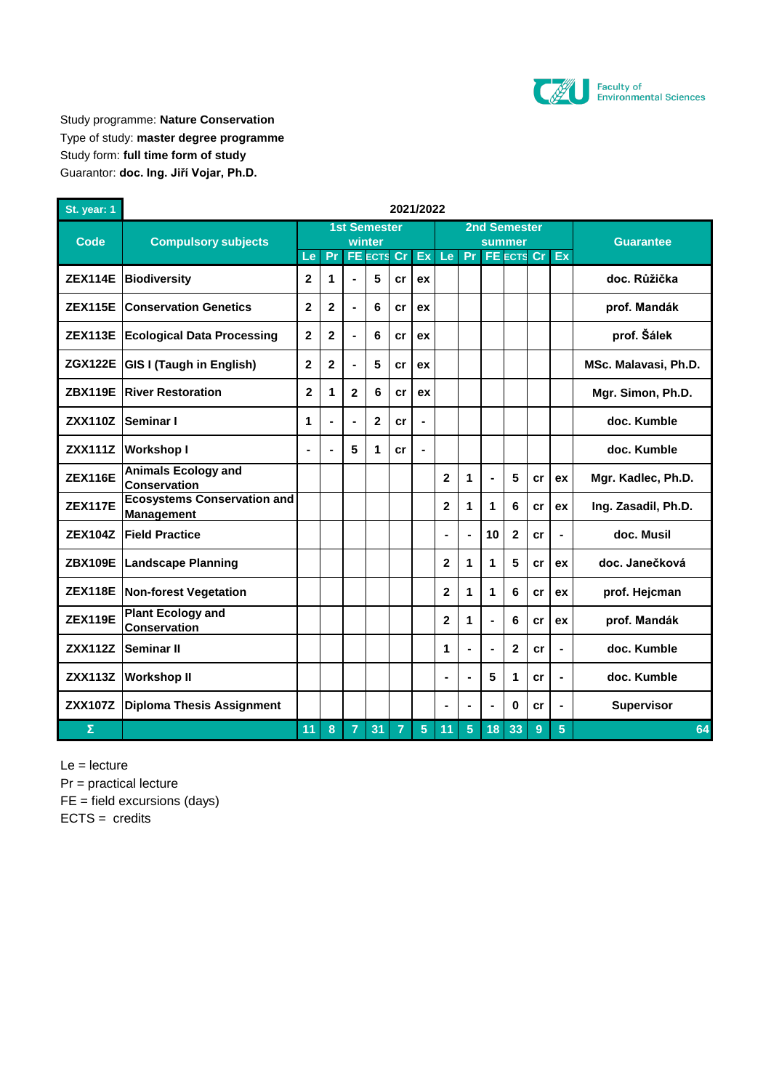

Study programme: **Nature Conservation** Type of study: **master degree programme** Study form: **full time form of study** Guarantor: **doc. Ing. Jiří Vojar, Ph.D.**

| St. year: 1    | 2021/2022                                               |                               |                |                |                   |                |                |                 |                |                         |                |    |                |                      |
|----------------|---------------------------------------------------------|-------------------------------|----------------|----------------|-------------------|----------------|----------------|-----------------|----------------|-------------------------|----------------|----|----------------|----------------------|
| Code           | <b>Compulsory subjects</b>                              | <b>1st Semester</b><br>winter |                |                |                   |                |                |                 |                | <b>2nd Semester</b>     |                |    |                |                      |
|                |                                                         | Le                            | Pr             |                | <b>FE ECTS Cr</b> |                | Ex             | Le <sub>1</sub> |                | summer<br>Pr FE ECTS Cr |                |    | Ex             | <b>Guarantee</b>     |
| <b>ZEX114E</b> | <b>Biodiversity</b>                                     | $\overline{2}$                | 1              |                | 5                 | cr             | ex             |                 |                |                         |                |    |                | doc. Růžička         |
| <b>ZEX115E</b> | <b>Conservation Genetics</b>                            | $\mathbf{2}$                  | $\mathbf{2}$   | $\blacksquare$ | 6                 | cr             | ex             |                 |                |                         |                |    |                | prof. Mandák         |
| <b>ZEX113E</b> | <b>Ecological Data Processing</b>                       | $\overline{2}$                | $\overline{2}$ | $\blacksquare$ | 6                 | cr             | ex             |                 |                |                         |                |    |                | prof. Šálek          |
| <b>ZGX122E</b> | <b>GIS I (Taugh in English)</b>                         | $\overline{2}$                | $\mathbf{2}$   | $\blacksquare$ | 5                 | cr             | ex             |                 |                |                         |                |    |                | MSc. Malavasi, Ph.D. |
| <b>ZBX119E</b> | <b>River Restoration</b>                                | $\mathbf{2}$                  | 1              | $\overline{2}$ | 6                 | cr             | ex             |                 |                |                         |                |    |                | Mgr. Simon, Ph.D.    |
| <b>ZXX110Z</b> | Seminar I                                               | 1                             | L,             | $\blacksquare$ | $\overline{2}$    | cr             |                |                 |                |                         |                |    |                | doc. Kumble          |
| <b>ZXX111Z</b> | <b>Workshop I</b>                                       | ×,                            | $\blacksquare$ | 5              | 1                 | cr             |                |                 |                |                         |                |    |                | doc. Kumble          |
| <b>ZEX116E</b> | <b>Animals Ecology and</b><br><b>Conservation</b>       |                               |                |                |                   |                |                | $\mathbf{2}$    | 1              |                         | 5              | cr | ex             | Mgr. Kadlec, Ph.D.   |
| <b>ZEX117E</b> | <b>Ecosystems Conservation and</b><br><b>Management</b> |                               |                |                |                   |                |                | $\overline{2}$  | 1              | 1                       | 6              | cr | ex             | Ing. Zasadil, Ph.D.  |
| <b>ZEX104Z</b> | <b>Field Practice</b>                                   |                               |                |                |                   |                |                | $\blacksquare$  | L,             | 10                      | $\overline{2}$ | cr | $\blacksquare$ | doc. Musil           |
| <b>ZBX109E</b> | <b>Landscape Planning</b>                               |                               |                |                |                   |                |                | 2               | 1              | 1                       | 5              | cr | ex             | doc. Janečková       |
|                | ZEX118E   Non-forest Vegetation                         |                               |                |                |                   |                |                | 2               | 1              | 1                       | 6              | cr | ex             | prof. Hejcman        |
| <b>ZEX119E</b> | <b>Plant Ecology and</b><br><b>Conservation</b>         |                               |                |                |                   |                |                | $\overline{2}$  | 1              |                         | 6              | cr | ex             | prof. Mandák         |
| <b>ZXX112Z</b> | Seminar II                                              |                               |                |                |                   |                |                | 1               | L,             |                         | $\mathbf{2}$   | cr | L.             | doc. Kumble          |
| <b>ZXX113Z</b> | <b>Workshop II</b>                                      |                               |                |                |                   |                |                | $\blacksquare$  | L,             | 5                       | $\mathbf{1}$   | cr | $\blacksquare$ | doc. Kumble          |
| <b>ZXX107Z</b> | <b>Diploma Thesis Assignment</b>                        |                               |                |                |                   |                |                | $\blacksquare$  | $\blacksquare$ | ٠                       | $\bf{0}$       | cr | $\blacksquare$ | <b>Supervisor</b>    |
| Σ              |                                                         | 11                            | 8              | $\overline{7}$ | 31                | $\overline{7}$ | 5 <sup>5</sup> | 11              | 5              | 18                      | 33             | 9  | 5 <sup>5</sup> | 64                   |

Le = lecture

Pr = practical lecture

FE = field excursions (days)

 $ECTS = credits$